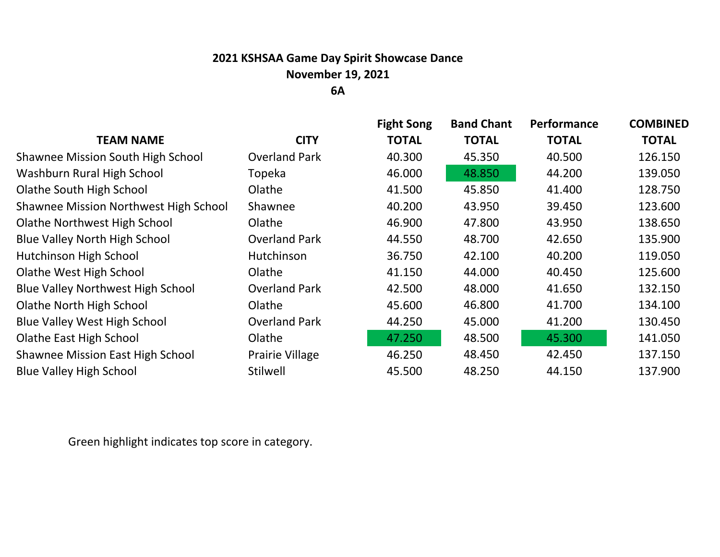## **2021 KSHSAA Game Day Spirit Showcase Dance November 19, 2021**

**6A**

|                                              |                      | <b>Fight Song</b> | <b>Band Chant</b> | Performance  | <b>COMBINED</b> |
|----------------------------------------------|----------------------|-------------------|-------------------|--------------|-----------------|
| <b>TEAM NAME</b>                             | <b>CITY</b>          | <b>TOTAL</b>      | <b>TOTAL</b>      | <b>TOTAL</b> | <b>TOTAL</b>    |
| <b>Shawnee Mission South High School</b>     | <b>Overland Park</b> | 40.300            | 45.350            | 40.500       | 126.150         |
| Washburn Rural High School                   | Topeka               | 46.000            | 48.850            | 44.200       | 139.050         |
| <b>Olathe South High School</b>              | Olathe               | 41.500            | 45.850            | 41.400       | 128.750         |
| <b>Shawnee Mission Northwest High School</b> | Shawnee              | 40.200            | 43.950            | 39.450       | 123.600         |
| <b>Olathe Northwest High School</b>          | Olathe               | 46.900            | 47.800            | 43.950       | 138.650         |
| <b>Blue Valley North High School</b>         | <b>Overland Park</b> | 44.550            | 48.700            | 42.650       | 135.900         |
| <b>Hutchinson High School</b>                | Hutchinson           | 36.750            | 42.100            | 40.200       | 119.050         |
| Olathe West High School                      | Olathe               | 41.150            | 44.000            | 40.450       | 125.600         |
| <b>Blue Valley Northwest High School</b>     | <b>Overland Park</b> | 42.500            | 48.000            | 41.650       | 132.150         |
| <b>Olathe North High School</b>              | Olathe               | 45.600            | 46.800            | 41.700       | 134.100         |
| <b>Blue Valley West High School</b>          | <b>Overland Park</b> | 44.250            | 45.000            | 41.200       | 130.450         |
| <b>Olathe East High School</b>               | Olathe               | 47.250            | 48.500            | 45.300       | 141.050         |
| <b>Shawnee Mission East High School</b>      | Prairie Village      | 46.250            | 48.450            | 42.450       | 137.150         |
| <b>Blue Valley High School</b>               | Stilwell             | 45.500            | 48.250            | 44.150       | 137.900         |
|                                              |                      |                   |                   |              |                 |

Green highlight indicates top score in category.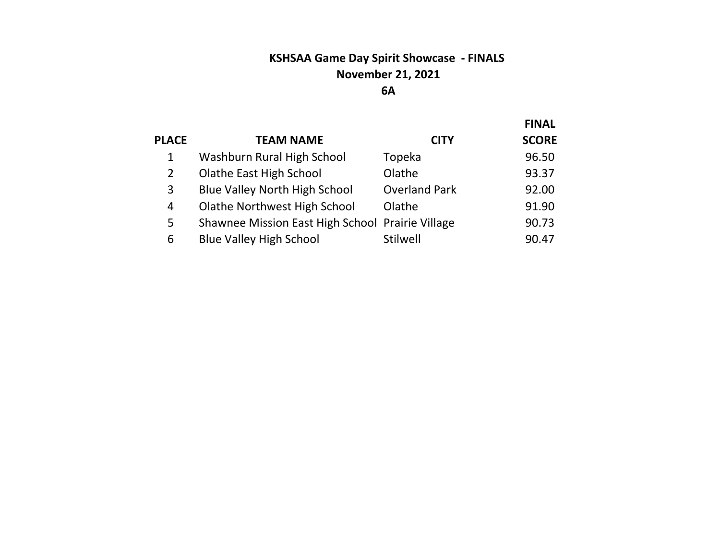# **KSHSAA Game Day Spirit Showcase - FINALS November 21, 2021**

#### **A**

|              |                                                  |                      | <b>FINAL</b> |
|--------------|--------------------------------------------------|----------------------|--------------|
| <b>PLACE</b> | <b>TEAM NAME</b>                                 | <b>CITY</b>          | <b>SCORE</b> |
| 1            | Washburn Rural High School                       | Topeka               | 96.50        |
| 2            | <b>Olathe East High School</b>                   | Olathe               | 93.37        |
| 3            | <b>Blue Valley North High School</b>             | <b>Overland Park</b> | 92.00        |
| 4            | <b>Olathe Northwest High School</b>              | Olathe               | 91.90        |
| 5            | Shawnee Mission East High School Prairie Village |                      | 90.73        |
| 6            | <b>Blue Valley High School</b>                   | Stilwell             | 90.47        |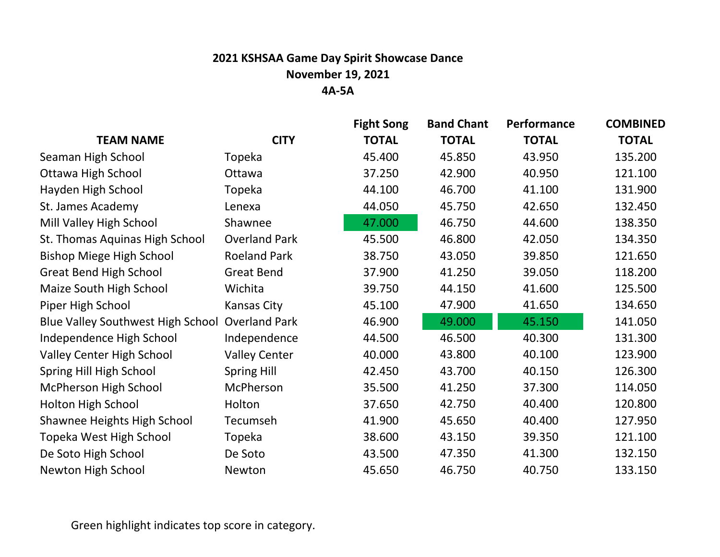### **2021 KSHSAA Game Day Spirit Showcase Dance November 19, 2021 4A-5A**

|                                                 |                      | <b>Fight Song</b> | <b>Band Chant</b> | Performance  | <b>COMBINED</b> |
|-------------------------------------------------|----------------------|-------------------|-------------------|--------------|-----------------|
| <b>TEAM NAME</b>                                | <b>CITY</b>          | <b>TOTAL</b>      | <b>TOTAL</b>      | <b>TOTAL</b> | <b>TOTAL</b>    |
| Seaman High School                              | Topeka               | 45.400            | 45.850            | 43.950       | 135.200         |
| <b>Ottawa High School</b>                       | Ottawa               | 37.250            | 42.900            | 40.950       | 121.100         |
| Hayden High School                              | Topeka               | 44.100            | 46.700            | 41.100       | 131.900         |
| St. James Academy                               | Lenexa               | 44.050            | 45.750            | 42.650       | 132.450         |
| Mill Valley High School                         | Shawnee              | 47.000            | 46.750            | 44.600       | 138.350         |
| St. Thomas Aquinas High School                  | <b>Overland Park</b> | 45.500            | 46.800            | 42.050       | 134.350         |
| <b>Bishop Miege High School</b>                 | <b>Roeland Park</b>  | 38.750            | 43.050            | 39.850       | 121.650         |
| <b>Great Bend High School</b>                   | <b>Great Bend</b>    | 37.900            | 41.250            | 39.050       | 118.200         |
| Maize South High School                         | Wichita              | 39.750            | 44.150            | 41.600       | 125.500         |
| Piper High School                               | <b>Kansas City</b>   | 45.100            | 47.900            | 41.650       | 134.650         |
| Blue Valley Southwest High School Overland Park |                      | 46.900            | 49.000            | 45.150       | 141.050         |
| Independence High School                        | Independence         | 44.500            | 46.500            | 40.300       | 131.300         |
| <b>Valley Center High School</b>                | <b>Valley Center</b> | 40.000            | 43.800            | 40.100       | 123.900         |
| Spring Hill High School                         | <b>Spring Hill</b>   | 42.450            | 43.700            | 40.150       | 126.300         |
| McPherson High School                           | McPherson            | 35.500            | 41.250            | 37.300       | 114.050         |
| <b>Holton High School</b>                       | Holton               | 37.650            | 42.750            | 40.400       | 120.800         |
| Shawnee Heights High School                     | Tecumseh             | 41.900            | 45.650            | 40.400       | 127.950         |
| Topeka West High School                         | Topeka               | 38.600            | 43.150            | 39.350       | 121.100         |
| De Soto High School                             | De Soto              | 43.500            | 47.350            | 41.300       | 132.150         |
| <b>Newton High School</b>                       | Newton               | 45.650            | 46.750            | 40.750       | 133.150         |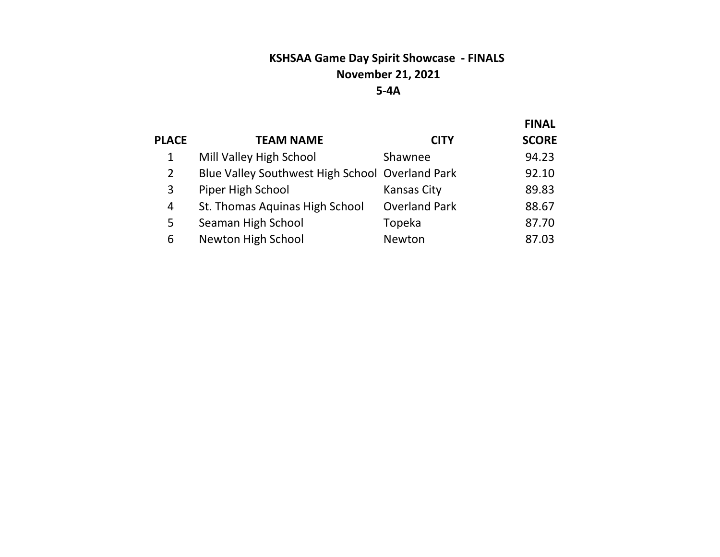## **KSHSAA Game Day Spirit Showcase - FINALS November 21, 2021 5-4A**

|              |                                                 |                      | <b>FINAL</b> |
|--------------|-------------------------------------------------|----------------------|--------------|
| <b>PLACE</b> | <b>TEAM NAME</b>                                | <b>CITY</b>          | <b>SCORE</b> |
| 1            | Mill Valley High School                         | Shawnee              | 94.23        |
| 2            | Blue Valley Southwest High School Overland Park |                      | 92.10        |
| 3            | Piper High School                               | <b>Kansas City</b>   | 89.83        |
| 4            | St. Thomas Aquinas High School                  | <b>Overland Park</b> | 88.67        |
| 5            | Seaman High School                              | Topeka               | 87.70        |
| 6            | Newton High School                              | Newton               | 87.03        |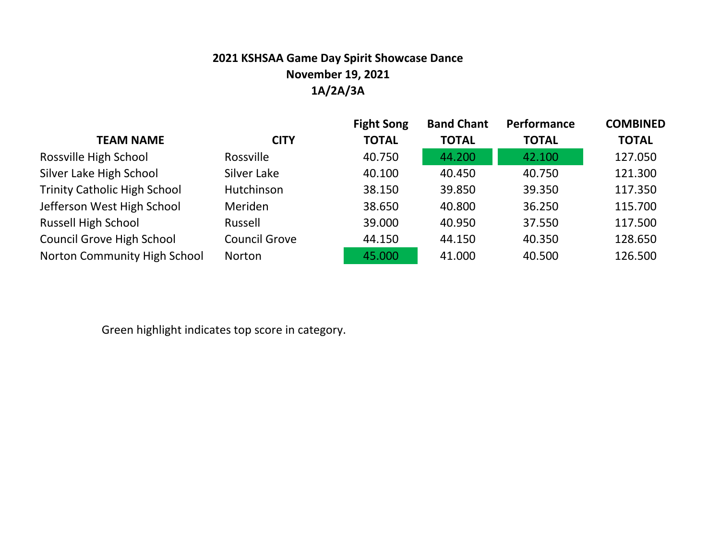## **2021 KSHSAA Game Day Spirit Showcase Dance November 19, 2021 1A/2A/3A**

|                                     |                      | <b>Fight Song</b> | <b>Band Chant</b> | Performance  | <b>COMBINED</b> |
|-------------------------------------|----------------------|-------------------|-------------------|--------------|-----------------|
| <b>TEAM NAME</b>                    | <b>CITY</b>          | <b>TOTAL</b>      | <b>TOTAL</b>      | <b>TOTAL</b> | <b>TOTAL</b>    |
| Rossville High School               | <b>Rossville</b>     | 40.750            | 44.200            | 42.100       | 127.050         |
| Silver Lake High School             | Silver Lake          | 40.100            | 40.450            | 40.750       | 121.300         |
| <b>Trinity Catholic High School</b> | Hutchinson           | 38.150            | 39.850            | 39.350       | 117.350         |
| Jefferson West High School          | <b>Meriden</b>       | 38.650            | 40.800            | 36.250       | 115.700         |
| <b>Russell High School</b>          | Russell              | 39.000            | 40.950            | 37.550       | 117.500         |
| <b>Council Grove High School</b>    | <b>Council Grove</b> | 44.150            | 44.150            | 40.350       | 128.650         |
| Norton Community High School        | Norton               | 45.000            | 41.000            | 40.500       | 126.500         |

Green highlight indicates top score in category.